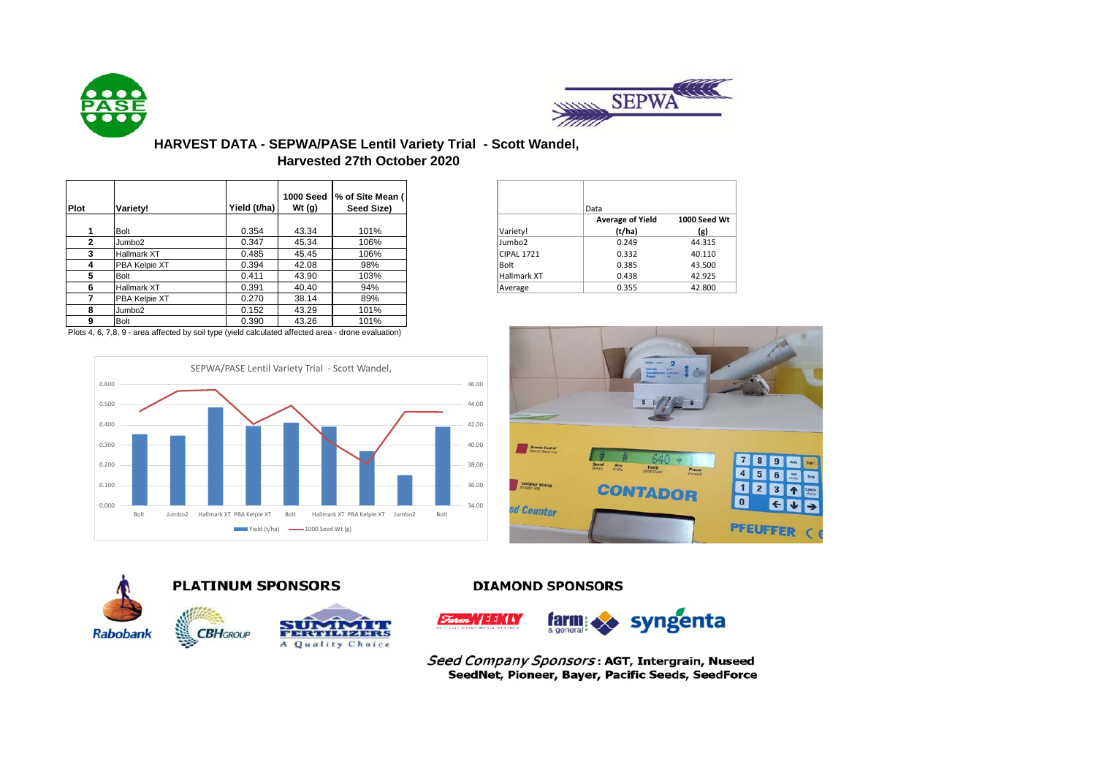



## **HARVEST DATA - SEPWA/PASE Lentil Variety Trial - Scott Wandel, Harvested 27th October 2020**

|             |                    |              | <b>1000 Seed</b> | % of Site Mean ( |
|-------------|--------------------|--------------|------------------|------------------|
| <b>Plot</b> | Variety!           | Yield (t/ha) | Wt $(g)$         | Seed Size)       |
|             |                    |              |                  |                  |
|             | <b>Bolt</b>        | 0.354        | 43.34            | 101%             |
|             | Jumbo <sub>2</sub> | 0.347        | 45.34            | 106%             |
| з           | Hallmark XT        | 0.485        | 45.45            | 106%             |
| 4           | PBA Kelpie XT      | 0.394        | 42.08            | 98%              |
| 5           | <b>Bolt</b>        | 0.411        | 43.90            | 103%             |
|             | <b>Hallmark XT</b> | 0.391        | 40.40            | 94%              |
|             | PBA Kelpie XT      | 0.270        | 38.14            | 89%              |
| 8           | Jumbo <sub>2</sub> | 0.152        | 43.29            | 101%             |
|             | <b>Bolt</b>        | 0.390        | 43.26            | 101%             |
|             |                    |              |                  |                  |

Plots 4, 6, 7,8, 9 - area affected by soil type (yield calculated affected area - drone evaluation)







## **PLATINUM SPONSORS**

HCROUP



### **DIAMOND SPONSORS**



Seed Company Sponsors: AGT, Intergrain, Nuseed SeedNet, Pioneer, Bayer, Pacific Seeds, SeedForce

|                    | Data                    |                     |
|--------------------|-------------------------|---------------------|
|                    | <b>Average of Yield</b> | <b>1000 Seed Wt</b> |
| Variety!           | (t/ha)                  | (g)                 |
| Jumbo <sub>2</sub> | 0.249                   | 44.315              |
| <b>CIPAL 1721</b>  | 0.332                   | 40.110              |
| <b>Bolt</b>        | 0.385                   | 43.500              |
| Hallmark XT        | 0.438                   | 42.925              |
| Average            | 0.355                   | 42.800              |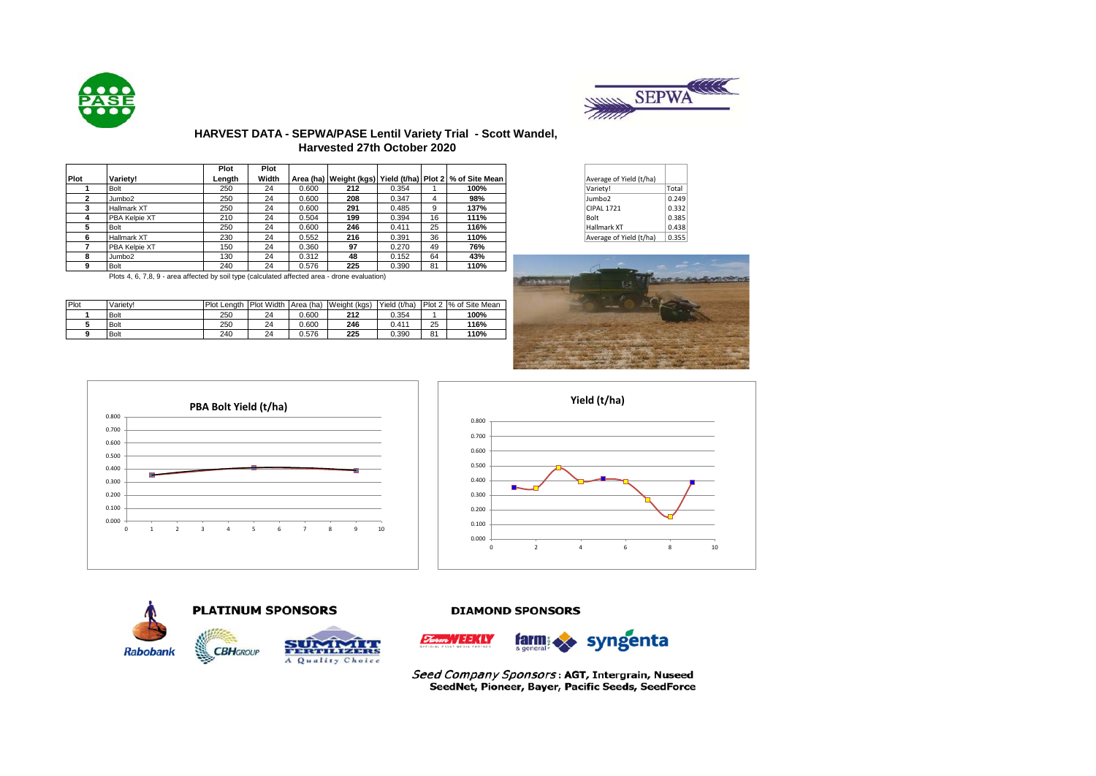



## **HARVEST DATA - SEPWA/PASE Lentil Variety Trial - Scott Wandel, Harvested 27th October 2020**

|             |                                                                                                | Plot   | Plot  |       |     |       |    |                                                                   |                         |       |
|-------------|------------------------------------------------------------------------------------------------|--------|-------|-------|-----|-------|----|-------------------------------------------------------------------|-------------------------|-------|
| <b>Plot</b> | Variety!                                                                                       | Length | Width |       |     |       |    | Area (ha)   Weight (kgs)   Yield (t/ha)   Plot 2   % of Site Mean | Average of Yield (t/ha) |       |
|             | <b>Bolt</b>                                                                                    | 250    | 24    | 0.600 | 212 | 0.354 |    | 100%                                                              | Variety!                | Total |
|             | Jumbo <sub>2</sub>                                                                             | 250    | 24    | 0.600 | 208 | 0.347 | 4  | 98%                                                               | Jumbo2                  | 0.249 |
|             | <b>Hallmark XT</b>                                                                             | 250    | 24    | 0.600 | 291 | 0.485 | 9  | 137%                                                              | <b>CIPAL 1721</b>       | 0.332 |
|             | PBA Kelpie XT                                                                                  | 210    | 24    | 0.504 | 199 | 0.394 | 16 | 111%                                                              | Bolt                    | 0.385 |
|             | <b>Bolt</b>                                                                                    | 250    | 24    | 0.600 | 246 | 0.411 | 25 | 116%                                                              | <b>Hallmark XT</b>      | 0.438 |
|             | <b>Hallmark XT</b>                                                                             | 230    | 24    | 0.552 | 216 | 0.391 | 36 | 110%                                                              | Average of Yield (t/ha) | 0.355 |
|             | PBA Kelpie XT                                                                                  | 150    | 24    | 0.360 | 97  | 0.270 | 49 | 76%                                                               |                         |       |
|             | Jumbo <sub>2</sub>                                                                             | 130    | 24    | 0.312 | 48  | 0.152 | 64 | 43%                                                               |                         |       |
|             | <b>Bolt</b>                                                                                    | 240    | 24    | 0.576 | 225 | 0.390 | 81 | 110%                                                              |                         |       |
|             | Plots 4, 6, 7, 8, 9 - area affected by soil type (calculated affected area - drope evaluation) |        |       |       |     |       |    |                                                                   | Not be                  |       |

Plot Variety! Plot Length Plot Width Area (ha) Weight (kgs) Yield (t/ha) Plot 2 % of Site Mean<br>1 Bolt 250 24 0.600 212 0.354 1 100% Bolt 250 24 0.600 **212** 0.354 1 **100%** Bolt 250 24 0.600 **246** 0.411 25 **116%** Bolt 240 24 0.576 **225** 0.390 81 **110%**

| Average of Yield (t/ha) |       |
|-------------------------|-------|
| Variety!                | Total |
| Jumbo <sub>2</sub>      | 0.249 |
| <b>CIPAL 1721</b>       | 0.332 |
| Bolt                    | 0.385 |
| Hallmark XT             | 0.438 |
| Average of Yield (t/ha) | 0.355 |



0.000 0.100 0.200 0.300 0.400 0.500 0.600 0.700 0.800 0 1 2 3 4 5 6 7 8 9 10 **PBA Bolt Yield (t/ha)**





### **DIAMOND SPONSORS**



Seed Company Sponsors: AGT, Intergrain, Nuseed SeedNet, Pioneer, Bayer, Pacific Seeds, SeedForce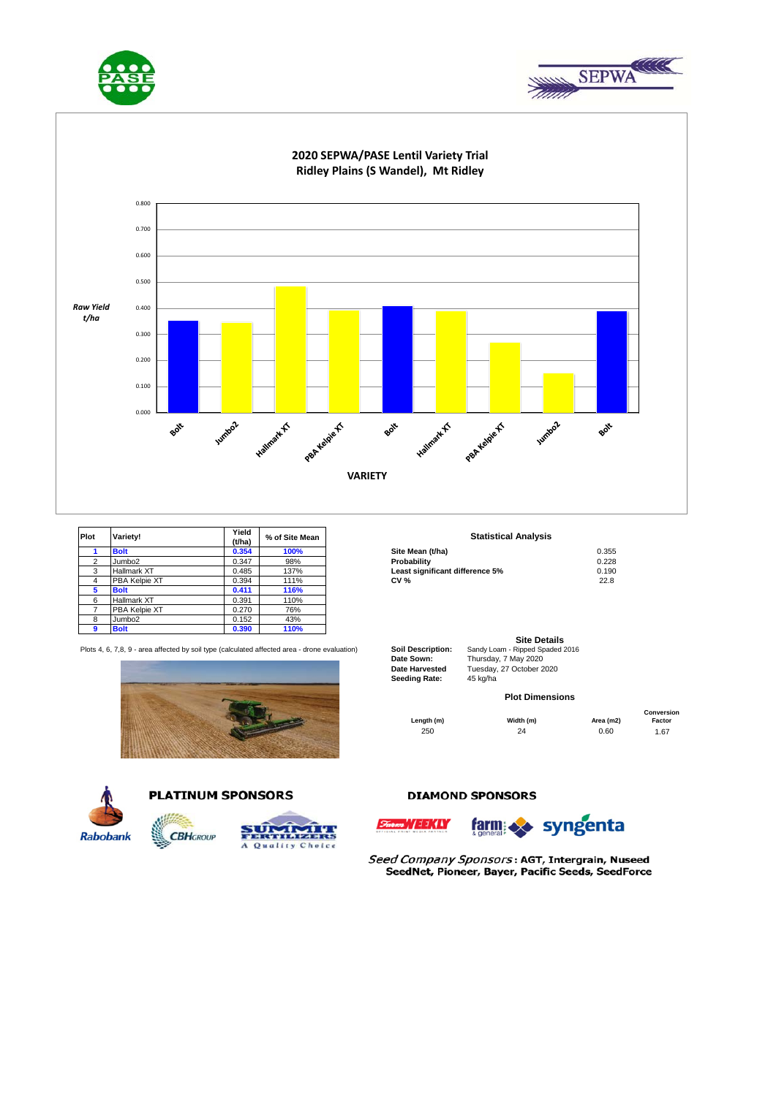





# **2020 SEPWA/PASE Lentil Variety Trial**

| Plot | Variety!           | Yield<br>(t/ha) | % of Site Mean | <b>Statistical Analysis</b>     |       |
|------|--------------------|-----------------|----------------|---------------------------------|-------|
|      | <b>Bolt</b>        | 0.354           | 100%           | Site Mean (t/ha)                | 0.355 |
| ົ    | Jumbo <sub>2</sub> | 0.347           | 98%            | Probability                     | 0.228 |
| 3    | Hallmark XT        | 0.485           | 137%           | Least significant difference 5% | 0.190 |
| 4    | PBA Kelpie XT      | 0.394           | 111%           | <b>CV %</b>                     | 22.8  |
|      | <b>Bolt</b>        | 0.411           | 116%           |                                 |       |
| 6    | Hallmark XT        | 0.391           | 110%           |                                 |       |
|      | PBA Kelpie XT      | 0.270           | 76%            |                                 |       |
| 8    | Jumbo2             | 0.152           | 43%            |                                 |       |
| a    | <b>Bolt</b>        | 0.390           | 110%           |                                 |       |

Plots 4, 6, 7,8, 9 - area affected by soil type (calculated affected area - drone evaluation) **Soil Description:** Sandy Loam - Ripped Spaded 2016





## **PLATINUM SPONSORS**



# **TEST**

## **DIAMOND SPONSORS**

. *|| EEKLY* 



Seed Company Sponsors: AGT, Intergrain, Nuseed SeedNet, Pioneer, Bayer, Pacific Seeds, SeedForce

#### **Statistical Analysis**

| Site Mean (t/ha)                | 0.355 |
|---------------------------------|-------|
| Probability                     | 0.228 |
| east significant difference 5%. | 0.190 |
| CV %                            | 22.8  |

|                          | <b>Site Details</b>        |
|--------------------------|----------------------------|
| <b>Soil Description:</b> | Sandy Loam - Ripped Spaded |
| Date Sown:               | Thursday, 7 May 2020       |
| <b>Date Harvested</b>    | Tuesday, 27 October 2020   |
| <b>Seeding Rate:</b>     | 45 kg/ha                   |

### **Plot Dimensions**

250 24 0.60 1.67 **Length (m) Width (m) Area (m2) Conversion Factor**